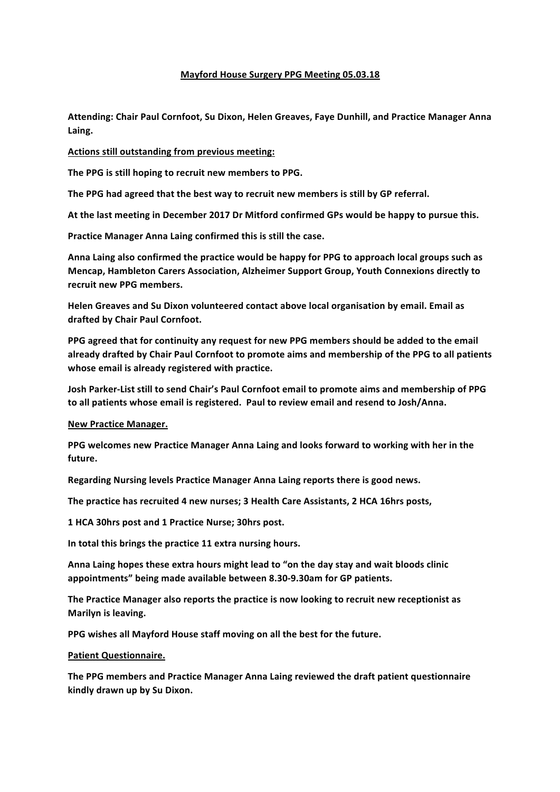## **Mayford House Surgery PPG Meeting 05.03.18**

Attending: Chair Paul Cornfoot, Su Dixon, Helen Greaves, Faye Dunhill, and Practice Manager Anna **Laing.**

## **Actions still outstanding from previous meeting:**

The PPG is still hoping to recruit new members to PPG.

The PPG had agreed that the best way to recruit new members is still by GP referral.

At the last meeting in December 2017 Dr Mitford confirmed GPs would be happy to pursue this.

Practice Manager Anna Laing confirmed this is still the case.

Anna Laing also confirmed the practice would be happy for PPG to approach local groups such as **Mencap, Hambleton Carers Association, Alzheimer Support Group, Youth Connexions directly to** recruit new PPG members.

Helen Greaves and Su Dixon volunteered contact above local organisation by email. Email as **drafted by Chair Paul Cornfoot.**

PPG agreed that for continuity any request for new PPG members should be added to the email already drafted by Chair Paul Cornfoot to promote aims and membership of the PPG to all patients whose email is already registered with practice.

Josh Parker-List still to send Chair's Paul Cornfoot email to promote aims and membership of PPG to all patients whose email is registered. Paul to review email and resend to Josh/Anna.

**New Practice Manager.** 

**PPG** welcomes new Practice Manager Anna Laing and looks forward to working with her in the **future.**

**Regarding Nursing levels Practice Manager Anna Laing reports there is good news.** 

The practice has recruited 4 new nurses; 3 Health Care Assistants, 2 HCA 16hrs posts,

1 HCA 30hrs post and 1 Practice Nurse; 30hrs post.

In total this brings the practice 11 extra nursing hours.

Anna Laing hopes these extra hours might lead to "on the day stay and wait bloods clinic **appointments" being made available between 8.30-9.30am for GP patients.**

The Practice Manager also reports the practice is now looking to recruit new receptionist as **Marilyn is leaving.** 

PPG wishes all Mayford House staff moving on all the best for the future.

# **Patient Questionnaire.**

The PPG members and Practice Manager Anna Laing reviewed the draft patient questionnaire **kindly drawn up by Su Dixon.**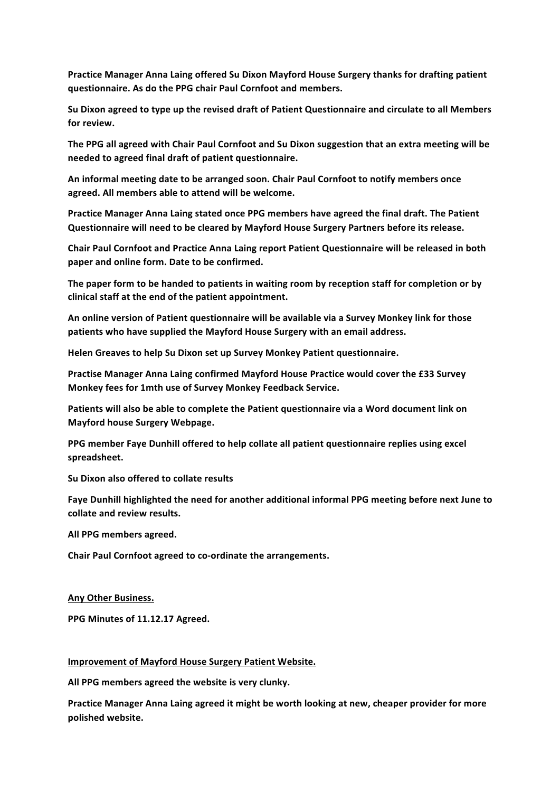Practice Manager Anna Laing offered Su Dixon Mayford House Surgery thanks for drafting patient **questionnaire. As do the PPG chair Paul Cornfoot and members.**

Su Dixon agreed to type up the revised draft of Patient Questionnaire and circulate to all Members for review.

The PPG all agreed with Chair Paul Cornfoot and Su Dixon suggestion that an extra meeting will be **needed to agreed final draft of patient questionnaire.**

An informal meeting date to be arranged soon. Chair Paul Cornfoot to notify members once agreed. All members able to attend will be welcome.

Practice Manager Anna Laing stated once PPG members have agreed the final draft. The Patient **Questionnaire will need to be cleared by Mayford House Surgery Partners before its release.** 

Chair Paul Cornfoot and Practice Anna Laing report Patient Questionnaire will be released in both paper and online form. Date to be confirmed.

The paper form to be handed to patients in waiting room by reception staff for completion or by clinical staff at the end of the patient appointment.

An online version of Patient questionnaire will be available via a Survey Monkey link for those patients who have supplied the Mayford House Surgery with an email address.

Helen Greaves to help Su Dixon set up Survey Monkey Patient questionnaire.

Practise Manager Anna Laing confirmed Mayford House Practice would cover the £33 Survey Monkey fees for 1mth use of Survey Monkey Feedback Service.

Patients will also be able to complete the Patient questionnaire via a Word document link on **Mayford house Surgery Webpage.**

PPG member Faye Dunhill offered to help collate all patient questionnaire replies using excel **spreadsheet.**

**Su Dixon also offered to collate results** 

Faye Dunhill highlighted the need for another additional informal PPG meeting before next June to collate and review results.

All PPG members agreed.

Chair Paul Cornfoot agreed to co-ordinate the arrangements.

**Any Other Business.** 

PPG Minutes of 11.12.17 Agreed.

#### **Improvement of Mayford House Surgery Patient Website.**

All PPG members agreed the website is very clunky.

Practice Manager Anna Laing agreed it might be worth looking at new, cheaper provider for more **polished website.**